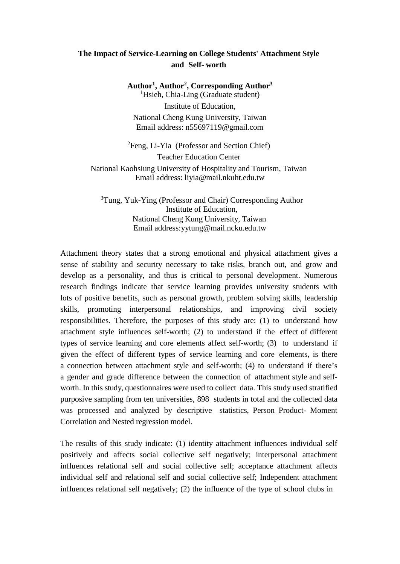## **The Impact of Service-Learning on College Students' Attachment Style and Self- worth**

**Author<sup>1</sup> , Author<sup>2</sup> , Corresponding Author<sup>3</sup>** <sup>1</sup>Hsieh, Chia-Ling (Graduate student) Institute of Education, National Cheng Kung University, Taiwan Email address: n55697119@gmail.com

<sup>2</sup>Feng, Li-Yia (Professor and Section Chief) Teacher Education Center National Kaohsiung University of Hospitality and Tourism, Taiwan Email address: liyia@mail.nkuht.edu.tw

<sup>3</sup>Tung, Yuk-Ying (Professor and Chair) Corresponding Author Institute of Education, National Cheng Kung University, Taiwan Email address:yytung@mail.ncku.edu.tw

Attachment theory states that a strong emotional and physical attachment gives a sense of stability and security necessary to take risks, branch out, and grow and develop as a personality, and thus is critical to personal development. Numerous research findings indicate that service learning provides university students with lots of positive benefits, such as personal growth, problem solving skills, leadership skills, promoting interpersonal relationships, and improving civil society responsibilities. Therefore, the purposes of this study are: (1) to understand how attachment style influences self-worth; (2) to understand if the effect of different types of service learning and core elements affect self-worth; (3) to understand if given the effect of different types of service learning and core elements, is there a connection between attachment style and self-worth; (4) to understand if there's a gender and grade difference between the connection of attachment style and selfworth. In this study, questionnaires were used to collect data. This study used stratified purposive sampling from ten universities, 898 students in total and the collected data was processed and analyzed by descriptive statistics, Person Product- Moment Correlation and Nested regression model.

The results of this study indicate: (1) identity attachment influences individual self positively and affects social collective self negatively; interpersonal attachment influences relational self and social collective self; acceptance attachment affects individual self and relational self and social collective self; Independent attachment influences relational self negatively; (2) the influence of the type of school clubs in